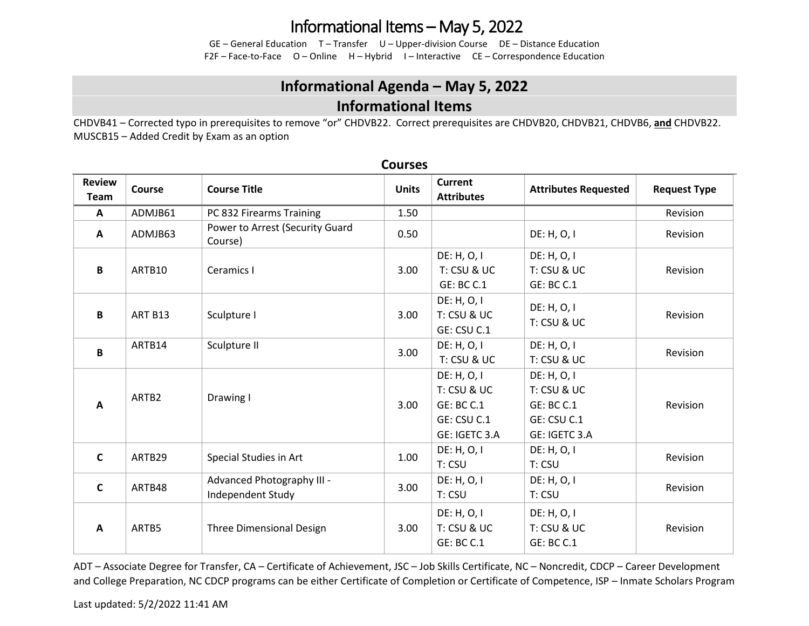### Informational Items – May 5, 2022

GE – General Education T – Transfer U – Upper-division Course DE – Distance Education F2F – Face-to-Face O – Online H – Hybrid I – Interactive CE – Correspondence Education

#### **Informational Agenda – May 5, 2022 Informational Items**

CHDVB41 – Corrected typo in prerequisites to remove "or" CHDVB22. Correct prerequisites are CHDVB20, CHDVB21, CHDVB6, **and** CHDVB22. MUSCB15 – Added Credit by Exam as an option

| <b>Review</b><br>Team | <b>Course</b> | <b>Course Title</b>                             | <b>Units</b> | <b>Current</b><br><b>Attributes</b>                                             | <b>Attributes Requested</b>                                                     | <b>Request Type</b> |
|-----------------------|---------------|-------------------------------------------------|--------------|---------------------------------------------------------------------------------|---------------------------------------------------------------------------------|---------------------|
| A                     | ADMJB61       | PC 832 Firearms Training                        | 1.50         |                                                                                 |                                                                                 | Revision            |
| A                     | ADMJB63       | Power to Arrest (Security Guard<br>Course)      | 0.50         |                                                                                 | DE: H, O, I                                                                     | Revision            |
| B                     | ARTB10        | Ceramics I                                      | 3.00         | DE: H, O, I<br>T: CSU & UC<br>GE: BC C.1                                        | DE: H, O, I<br>T: CSU & UC<br><b>GE: BC C.1</b>                                 | Revision            |
| B                     | ART B13       | Sculpture I                                     | 3.00         | DE: H, O, I<br>T: CSU & UC<br>GE: CSU C.1                                       | DE: H, O, I<br>T: CSU & UC                                                      | Revision            |
| B                     | ARTB14        | Sculpture II                                    | 3.00         | DE: H, O, I<br>T: CSU & UC                                                      | DE: H, O, I<br>T: CSU & UC                                                      | Revision            |
| A                     | ARTB2         | Drawing I                                       | 3.00         | DE: H, O, I<br>T: CSU & UC<br><b>GE: BC C.1</b><br>GE: CSU C.1<br>GE: IGETC 3.A | DE: H, O, I<br>T: CSU & UC<br><b>GE: BC C.1</b><br>GE: CSU C.1<br>GE: IGETC 3.A | Revision            |
| $\mathsf{C}$          | ARTB29        | Special Studies in Art                          | 1.00         | DE: H, O, I<br>T: CSU                                                           | DE: H, O, I<br>T: CSU                                                           | Revision            |
| $\mathsf{C}$          | ARTB48        | Advanced Photography III -<br>Independent Study | 3.00         | DE: H, O, I<br>T: CSU                                                           | DE: H, O, I<br>T: CSU                                                           | Revision            |
| A                     | ARTB5         | <b>Three Dimensional Design</b>                 | 3.00         | DE: H, O, I<br>T: CSU & UC<br><b>GE: BC C.1</b>                                 | DE: H, O, I<br>T: CSU & UC<br><b>GE: BC C.1</b>                                 | Revision            |

**Courses**

ADT – Associate Degree for Transfer, CA – Certificate of Achievement, JSC – Job Skills Certificate, NC – Noncredit, CDCP – Career Development and College Preparation, NC CDCP programs can be either Certificate of Completion or Certificate of Competence, ISP – Inmate Scholars Program